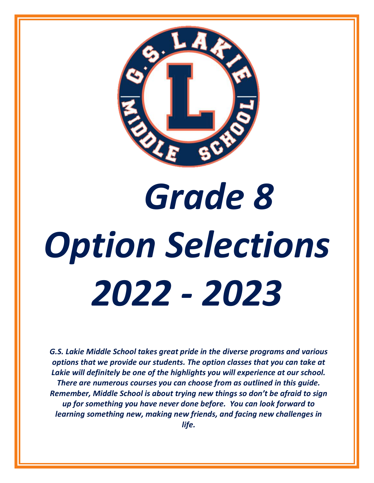

# *Grade 8 Option Selections 2022 - 2023*

*G.S. Lakie Middle School takes great pride in the diverse programs and various options that we provide our students. The option classes that you can take at Lakie will definitely be one of the highlights you will experience at our school. There are numerous courses you can choose from as outlined in this guide. Remember, Middle School is about trying new things so don't be afraid to sign up for something you have never done before. You can look forward to learning something new, making new friends, and facing new challenges in life.*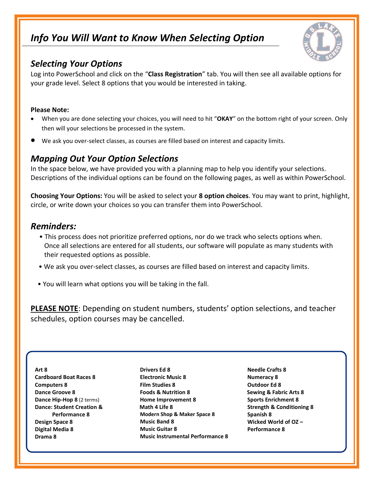# *Info You Will Want to Know When Selecting Option*



### *Selecting Your Options*

Log into PowerSchool and click on the "**Class Registration**" tab. You will then see all available options for your grade level. Select 8 options that you would be interested in taking.

### **Please Note:**

- When you are done selecting your choices, you will need to hit "**OKAY**" on the bottom right of your screen. Only then will your selections be processed in the system.
- We ask you over-select classes, as courses are filled based on interest and capacity limits.

### *Mapping Out Your Option Selections*

In the space below, we have provided you with a planning map to help you identify your selections. Descriptions of the individual options can be found on the following pages, as well as within PowerSchool.

**Choosing Your Options:** You will be asked to select your **8 option choices**. You may want to print, highlight, circle, or write down your choices so you can transfer them into PowerSchool.

### *Reminders:*

- This process does not prioritize preferred options, nor do we track who selects options when. Once all selections are entered for all students, our software will populate as many students with their requested options as possible.
- We ask you over-select classes, as courses are filled based on interest and capacity limits.
- You will learn what options you will be taking in the fall.

**PLEASE NOTE**: Depending on student numbers, students' option selections, and teacher schedules, option courses may be cancelled.

**Art 8 Cardboard Boat Races 8 Computers 8 Dance Groove 8 Dance Hip-Hop 8** (2 terms) **Dance: Student Creation & Performance 8 Design Space 8 Digital Media 8 Drama 8**

**Drivers Ed 8 Electronic Music 8 Film Studies 8 Foods & Nutrition 8 Home Improvement 8 Math 4 Life 8 Modern Shop & Maker Space 8 Music Band 8 Music Guitar 8 Music Instrumental Performance 8**

 **Needle Crafts 8 Numeracy 8 Outdoor Ed 8 Sewing & Fabric Arts 8 Sports Enrichment 8 Strength & Conditioning 8 Spanish 8 Wicked World of OZ – Performance 8**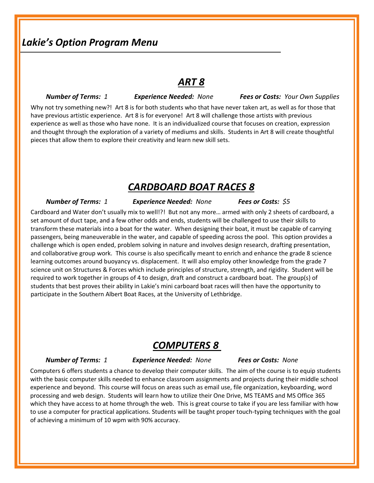### *Lakie's Option Program Menu*

### *ART 8*

### *Number of Terms: 1 Experience Needed: None Fees or Costs: Your Own Supplies*

Why not try something new?! Art 8 is for both students who that have never taken art, as well as for those that have previous artistic experience. Art 8 is for everyone! Art 8 will challenge those artists with previous experience as well as those who have none. It is an individualized course that focuses on creation, expression and thought through the exploration of a variety of mediums and skills. Students in Art 8 will create thoughtful pieces that allow them to explore their creativity and learn new skill sets.

### *CARDBOARD BOAT RACES 8*

 *Number of Terms: 1 Experience Needed: None Fees or Costs: \$5*

Cardboard and Water don't usually mix to well!?! But not any more… armed with only 2 sheets of cardboard, a set amount of duct tape, and a few other odds and ends, students will be challenged to use their skills to transform these materials into a boat for the water. When designing their boat, it must be capable of carrying passengers, being maneuverable in the water, and capable of speeding across the pool. This option provides a challenge which is open ended, problem solving in nature and involves design research, drafting presentation, and collaborative group work. This course is also specifically meant to enrich and enhance the grade 8 science learning outcomes around buoyancy vs. displacement. It will also employ other knowledge from the grade 7 science unit on Structures & Forces which include principles of structure, strength, and rigidity. Student will be required to work together in groups of 4 to design, draft and construct a cardboard boat. The group(s) of students that best proves their ability in Lakie's mini carboard boat races will then have the opportunity to participate in the Southern Albert Boat Races, at the University of Lethbridge.

### *COMPUTERS 8*

### *Number of Terms: 1 Experience Needed: None Fees or Costs: None*

Computers 6 offers students a chance to develop their computer skills. The aim of the course is to equip students with the basic computer skills needed to enhance classroom assignments and projects during their middle school experience and beyond. This course will focus on areas such as email use, file organization, keyboarding, word processing and web design. Students will learn how to utilize their One Drive, MS TEAMS and MS Office 365 which they have access to at home through the web. This is great course to take if you are less familiar with how to use a computer for practical applications. Students will be taught proper touch-typing techniques with the goal of achieving a minimum of 10 wpm with 90% accuracy.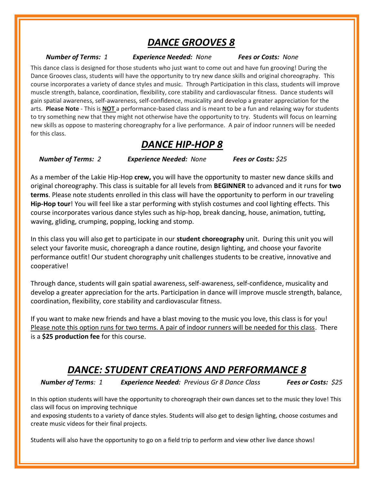# *DANCE GROOVES 8*

 *Number of Terms: 1 Experience Needed: None Fees or Costs: None*

This dance class is designed for those students who just want to come out and have fun grooving! During the Dance Grooves class, students will have the opportunity to try new dance skills and original choreography. This course incorporates a variety of dance styles and music. Through Participation in this class, students will improve muscle strength, balance, coordination, flexibility, core stability and cardiovascular fitness. Dance students will gain spatial awareness, self-awareness, self-confidence, musicality and develop a greater appreciation for the arts. **Please Note** - This is **NOT** a performance-based class and is meant to be a fun and relaxing way for students to try something new that they might not otherwise have the opportunity to try. Students will focus on learning new skills as oppose to mastering choreography for a live performance. A pair of indoor runners will be needed for this class.

# *DANCE HIP-HOP 8*

*Number of Terms: 2 Experience Needed: None Fees or Costs: \$25*

As a member of the Lakie Hip-Hop **crew,** you will have the opportunity to master new dance skills and original choreography. This class is suitable for all levels from **BEGINNER** to advanced and it runs for **two terms**. Please note students enrolled in this class will have the opportunity to perform in our traveling **Hip-Hop tour**! You will feel like a star performing with stylish costumes and cool lighting effects. This course incorporates various dance styles such as hip-hop, break dancing, house, animation, tutting, waving, gliding, crumping, popping, locking and stomp.

In this class you will also get to participate in our **student choreography** unit. During this unit you will select your favorite music, choreograph a dance routine, design lighting, and choose your favorite performance outfit! Our student chorography unit challenges students to be creative, innovative and cooperative!

Through dance, students will gain spatial awareness, self-awareness, self-confidence, musicality and develop a greater appreciation for the arts. Participation in dance will improve muscle strength, balance, coordination, flexibility, core stability and cardiovascular fitness.

If you want to make new friends and have a blast moving to the music you love, this class is for you! Please note this option runs for two terms. A pair of indoor runners will be needed for this class. There is a **\$25 production fee** for this course.

# *DANCE: STUDENT CREATIONS AND PERFORMANCE 8*

*Number of Terms: 1 Experience Needed: Previous Gr 8 Dance Class Fees or Costs: \$25*

In this option students will have the opportunity to choreograph their own dances set to the music they love! This class will focus on improving technique

and exposing students to a variety of dance styles. Students will also get to design lighting, choose costumes and create music videos for their final projects.

Students will also have the opportunity to go on a field trip to perform and view other live dance shows!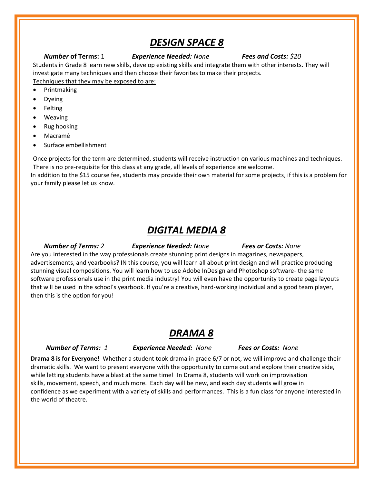### *DESIGN SPACE 8*

### *Number* **of Terms:** 1 *Experience Needed: None Fees and Costs: \$20*

Students in Grade 8 learn new skills, develop existing skills and integrate them with other interests. They will investigate many techniques and then choose their favorites to make their projects. Techniques that they may be exposed to are:

### • Printmaking

- Dyeing
- Felting
- Weaving
- Rug hooking
- Macramé
- Surface embellishment

Once projects for the term are determined, students will receive instruction on various machines and techniques. There is no pre-requisite for this class at any grade, all levels of experience are welcome.

In addition to the \$15 course fee, students may provide their own material for some projects, if this is a problem for your family please let us know.

### *DIGITAL MEDIA 8*

*Number of Terms: 2 Experience Needed: None Fees or Costs: None*

Are you interested in the way professionals create stunning print designs in magazines, newspapers, advertisements, and yearbooks? IN this course, you will learn all about print design and will practice producing stunning visual compositions. You will learn how to use Adobe InDesign and Photoshop software- the same software professionals use in the print media industry! You will even have the opportunity to create page layouts that will be used in the school's yearbook. If you're a creative, hard-working individual and a good team player, then this is the option for you!

### *DRAMA 8*

### *Number of Terms: 1 Experience Needed: None Fees or Costs: None*

**Drama 8 is for Everyone!** Whether a student took drama in grade 6/7 or not, we will improve and challenge their dramatic skills. We want to present everyone with the opportunity to come out and explore their creative side, while letting students have a blast at the same time! In Drama 8, students will work on improvisation skills, movement, speech, and much more. Each day will be new, and each day students will grow in confidence as we experiment with a variety of skills and performances. This is a fun class for anyone interested in the world of theatre.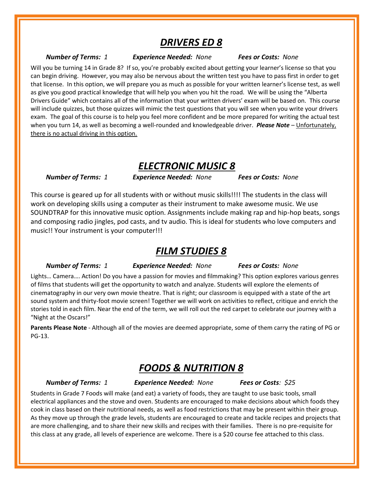### *DRIVERS ED 8*

 *Number of Terms: 1 Experience Needed: None Fees or Costs: None*

Will you be turning 14 in Grade 8? If so, you're probably excited about getting your learner's license so that you can begin driving. However, you may also be nervous about the written test you have to pass first in order to get that license. In this option, we will prepare you as much as possible for your written learner's license test, as well as give you good practical knowledge that will help you when you hit the road. We will be using the "Alberta Drivers Guide" which contains all of the information that your written drivers' exam will be based on. This course will include quizzes, but those quizzes will mimic the test questions that you will see when you write your drivers exam. The goal of this course is to help you feel more confident and be more prepared for writing the actual test when you turn 14, as well as becoming a well-rounded and knowledgeable driver. *Please Note* – Unfortunately, there is no actual driving in this option.

### *ELECTRONIC MUSIC 8*

 *Number of Terms: 1 Experience Needed: None Fees or Costs: None*

This course is geared up for all students with or without music skills!!!! The students in the class will work on developing skills using a computer as their instrument to make awesome music. We use SOUNDTRAP for this innovative music option. Assignments include making rap and hip-hop beats, songs and composing radio jingles, pod casts, and tv audio. This is ideal for students who love computers and music!! Your instrument is your computer!!!

### *FILM STUDIES 8*

 *Number of Terms: 1 Experience Needed: None Fees or Costs: None*

Lights… Camera…. Action! Do you have a passion for movies and filmmaking? This option explores various genres of films that students will get the opportunity to watch and analyze. Students will explore the elements of cinematography in our very own movie theatre. That is right; our classroom is equipped with a state of the art sound system and thirty-foot movie screen! Together we will work on activities to reflect, critique and enrich the stories told in each film. Near the end of the term, we will roll out the red carpet to celebrate our journey with a "Night at the Oscars!"

**Parents Please Note** - Although all of the movies are deemed appropriate, some of them carry the rating of PG or PG-13.

### *FOODS & NUTRITION 8*

 *Number of Terms: 1 Experience Needed: None Fees or Costs: \$25*

Students in Grade 7 Foods will make (and eat) a variety of foods, they are taught to use basic tools, small electrical appliances and the stove and oven. Students are encouraged to make decisions about which foods they cook in class based on their nutritional needs, as well as food restrictions that may be present within their group. As they move up through the grade levels, students are encouraged to create and tackle recipes and projects that are more challenging, and to share their new skills and recipes with their families. There is no pre-requisite for this class at any grade, all levels of experience are welcome. There is a \$20 course fee attached to this class.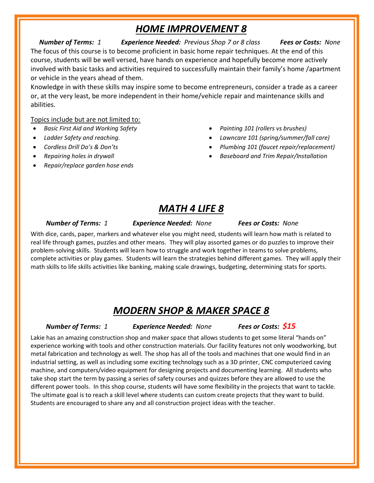# *HOME IMPROVEMENT 8*

*Number of Terms: 1 Experience Needed: Previous Shop 7 or 8 class Fees or Costs: None* The focus of this course is to become proficient in basic home repair techniques. At the end of this course, students will be well versed, have hands on experience and hopefully become more actively involved with basic tasks and activities required to successfully maintain their family's home /apartment or vehicle in the years ahead of them.

Knowledge in with these skills may inspire some to become entrepreneurs, consider a trade as a career or, at the very least, be more independent in their home/vehicle repair and maintenance skills and abilities.

Topics include but are not limited to:

- *Basic First Aid and Working Safety*
- *Ladder Safety and reaching.*
- *Cordless Drill Do's & Don'ts*
- *Repairing holes in drywall*
- *Repair/replace garden hose ends*
- *Painting 101 (rollers vs brushes)*
- *Lawncare 101 (spring/summer/fall care)*
- *Plumbing 101 (faucet repair/replacement)*
- *Baseboard and Trim Repair/Installation*

# *MATH 4 LIFE 8*

 *Number of Terms: 1 Experience Needed: None Fees or Costs: None*

With dice, cards, paper, markers and whatever else you might need, students will learn how math is related to real life through games, puzzles and other means. They will play assorted games or do puzzles to improve their problem-solving skills. Students will learn how to struggle and work together in teams to solve problems, complete activities or play games. Students will learn the strategies behind different games. They will apply their math skills to life skills activities like banking, making scale drawings, budgeting, determining stats for sports.

# *MODERN SHOP & MAKER SPACE 8*

 *Number of Terms: 1 Experience Needed: None Fees or Costs: \$15*

Lakie has an amazing construction shop and maker space that allows students to get some literal "hands on" experience working with tools and other construction materials. Our facility features not only woodworking, but metal fabrication and technology as well. The shop has all of the tools and machines that one would find in an industrial setting, as well as including some exciting technology such as a 3D printer, CNC computerized caving machine, and computers/video equipment for designing projects and documenting learning. All students who take shop start the term by passing a series of safety courses and quizzes before they are allowed to use the different power tools. In this shop course, students will have some flexibility in the projects that want to tackle. The ultimate goal is to reach a skill level where students can custom create projects that they want to build. Students are encouraged to share any and all construction project ideas with the teacher.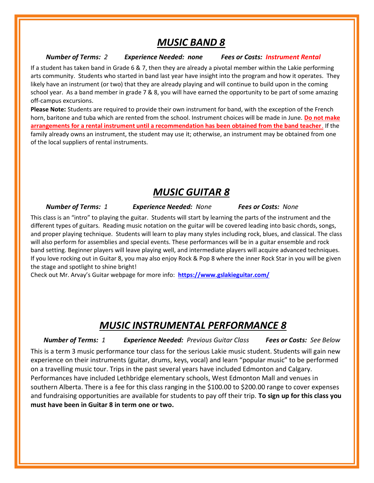### *MUSIC BAND 8*

### *Number of Terms: 2 Experience Needed: none Fees or Costs: Instrument Rental*

If a student has taken band in Grade 6 & 7, then they are already a pivotal member within the Lakie performing arts community. Students who started in band last year have insight into the program and how it operates. They likely have an instrument (or two) that they are already playing and will continue to build upon in the coming school year. As a band member in grade 7 & 8, you will have earned the opportunity to be part of some amazing off-campus excursions.

**Please Note:** Students are required to provide their own instrument for band, with the exception of the French horn, baritone and tuba which are rented from the school. Instrument choices will be made in June. **Do not make arrangements for a rental instrument until a recommendation has been obtained from the band teacher**. If the family already owns an instrument, the student may use it; otherwise, an instrument may be obtained from one of the local suppliers of rental instruments.

### *MUSIC GUITAR 8*

 *Number of Terms: 1 Experience Needed: None Fees or Costs: None*

This class is an "intro" to playing the guitar. Students will start by learning the parts of the instrument and the different types of guitars. Reading music notation on the guitar will be covered leading into basic chords, songs, and proper playing technique. Students will learn to play many styles including rock, blues, and classical. The class will also perform for assemblies and special events. These performances will be in a guitar ensemble and rock band setting. Beginner players will leave playing well, and intermediate players will acquire advanced techniques. If you love rocking out in Guitar 8, you may also enjoy Rock & Pop 8 where the inner Rock Star in you will be given the stage and spotlight to shine bright!

Check out Mr. Arvay's Guitar webpage for more info: **<https://www.gslakieguitar.com/>**

# *MUSIC INSTRUMENTAL PERFORMANCE 8*

 *Number of Terms: 1 Experience Needed: Previous Guitar Class Fees or Costs: See Below* This is a term 3 music performance tour class for the serious Lakie music student. Students will gain new experience on their instruments (guitar, drums, keys, vocal) and learn "popular music" to be performed on a travelling music tour. Trips in the past several years have included Edmonton and Calgary. Performances have included Lethbridge elementary schools, West Edmonton Mall and venues in southern Alberta. There is a fee for this class ranging in the \$100.00 to \$200.00 range to cover expenses and fundraising opportunities are available for students to pay off their trip. **To sign up for this class you must have been in Guitar 8 in term one or two.**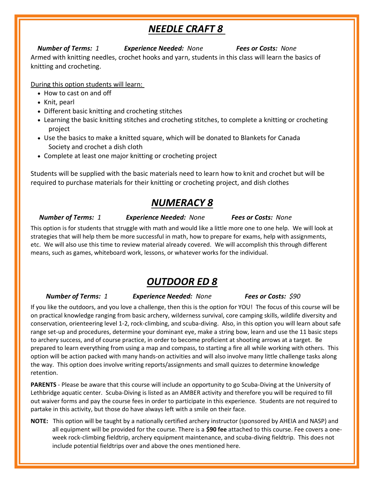# *NEEDLE CRAFT 8*

### *Number of Terms: 1 Experience Needed: None Fees or Costs: None*

Armed with knitting needles, crochet hooks and yarn, students in this class will learn the basics of knitting and crocheting.

During this option students will learn:

- How to cast on and off
- Knit, pearl
- Different basic knitting and crocheting stitches
- Learning the basic knitting stitches and crocheting stitches, to complete a knitting or crocheting project
- Use the basics to make a knitted square, which will be donated to Blankets for Canada Society and crochet a dish cloth
- Complete at least one major knitting or crocheting project

Students will be supplied with the basic materials need to learn how to knit and crochet but will be required to purchase materials for their knitting or crocheting project, and dish clothes

# *NUMERACY 8*

*Number of Terms: 1 Experience Needed: None Fees or Costs: None*

This option is for students that struggle with math and would like a little more one to one help. We will look at strategies that will help them be more successful in math, how to prepare for exams, help with assignments, etc. We will also use this time to review material already covered. We will accomplish this through different means, such as games, whiteboard work, lessons, or whatever works for the individual.

# *OUTDOOR ED 8*

 *Number of Terms: 1 Experience Needed: None Fees or Costs: \$90*

If you like the outdoors, and you love a challenge, then this is the option for YOU! The focus of this course will be on practical knowledge ranging from basic archery, wilderness survival, core camping skills, wildlife diversity and conservation, orienteering level 1-2, rock-climbing, and scuba-diving. Also, in this option you will learn about safe range set-up and procedures, determine your dominant eye, make a string bow, learn and use the 11 basic steps to archery success, and of course practice, in order to become proficient at shooting arrows at a target. Be prepared to learn everything from using a map and compass, to starting a fire all while working with others. This option will be action packed with many hands-on activities and will also involve many little challenge tasks along the way. This option does involve writing reports/assignments and small quizzes to determine knowledge retention.

**PARENTS** - Please be aware that this course will include an opportunity to go Scuba-Diving at the University of Lethbridge aquatic center. Scuba-Diving is listed as an AMBER activity and therefore you will be required to fill out waiver forms and pay the course fees in order to participate in this experience. Students are not required to partake in this activity, but those do have always left with a smile on their face.

**NOTE:** This option will be taught by a nationally certified archery instructor (sponsored by AHEIA and NASP) and all equipment will be provided for the course. There is a **\$90 fee** attached to this course. Fee covers a oneweek rock-climbing fieldtrip, archery equipment maintenance, and scuba-diving fieldtrip. This does not include potential fieldtrips over and above the ones mentioned here.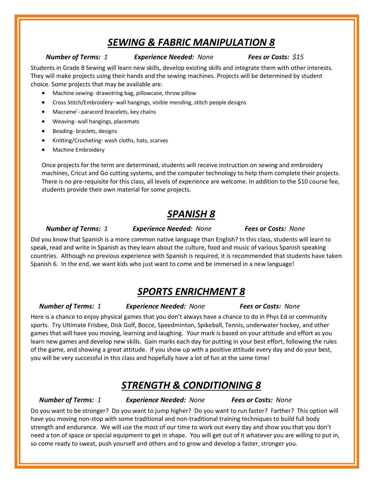# *SEWING & FABRIC MANIPULATION 8*

### *Number of Terms: 1 Experience Needed: None Fees or Costs: \$15*

Students in Grade 8 Sewing will learn new skills, develop existing skills and integrate them with other interests. They will make projects using their hands and the sewing machines. Projects will be determined by student choice. Some projects that may be available are:

- Machine sewing- drawstring bag, pillowcase, throw pillow
- Cross Stitch/Embroidery- wall hangings, visible mending, stitch people designs
- Macrame'- paracord bracelets, key chains
- Weaving- wall hangings, placemats
- Beading- braclets, designs
- Knitting/Crocheting- wash cloths, hats, scarves
- Machine Embroidery

Once projects for the term are determined, students will receive instruction on sewing and embroidery machines, Cricut and Go cutting systems, and the computer technology to help them complete their projects. There is no pre-requisite for this class, all levels of experience are welcome. In addition to the \$10 course fee, students provide their own material for some projects.

# *SPANISH 8*

 *Number of Terms: 1 Experience Needed: None Fees or Costs: None*

### Did you know that Spanish is a more common native language than English? In this class, students will learn to speak, read and write in Spanish as they learn about the culture, food and music of various Spanish speaking countries. Although no previous experience with Spanish is required, it is recommended that students have taken Spanish 6. In the end, we want kids who just want to come and be immersed in a new language!

### *SPORTS ENRICHMENT 8*

*Number of Terms: 1 Experience Needed: None Fees or Costs: None*

Here is a chance to enjoy physical games that you don't always have a chance to do in Phys Ed or community sports. Try Ultimate Frisbee, Disk Golf, Bocce, Speedminton, Spikeball, Tennis, underwater hockey, and other games that will have you moving, learning and laughing. Your mark is based on your attitude and effort as you learn new games and develop new skills. Gain marks each day for putting in your best effort, following the rules of the game, and showing a great attitude. If you show up with a positive attitude every day and do your best, you will be very successful in this class and hopefully have a lot of fun at the same time!

### *STRENGTH & CONDITIONING 8*

*Number of Terms: 1 Experience Needed: None Fees or Costs: None*

Do you want to be stronger? Do you want to jump higher? Do you want to run faster? Farther? This option will have you moving non-stop with some traditional and non-traditional training techniques to build full body strength and endurance. We will use the most of our time to work out every day and show you that you don't need a ton of space or special equipment to get in shape. You will get out of it whatever you are willing to put in, so come ready to sweat, push yourself and others and to grow and develop a faster, stronger you.